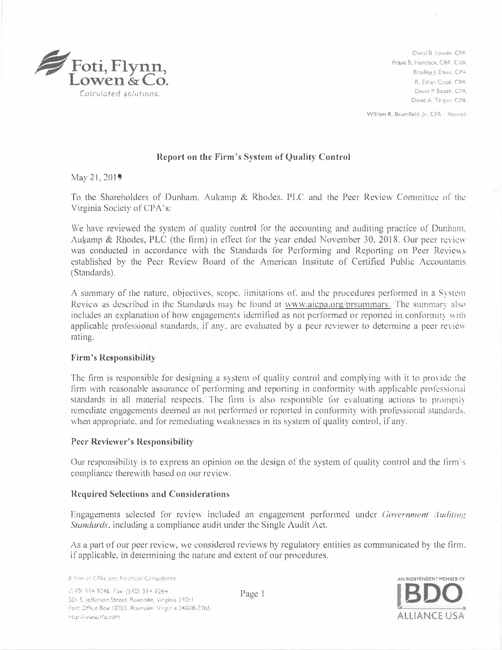

David B. Lowen, CPA Frank B. Hancock. CPA.. CYA Bradley J. Davis, CPA R. Ethan Cook. CPA David P. Booth, CPA David A. Tingler. CPA

William R, Brumfield. Jr., CPA - Repred

### **Report on the Firm's System of Quality Control**

May 21,2019

To the Shareholders of Dunham, Aukamp & Rhodes. PLC and the Peer Review Committee of the Virginia Society of CPA's:

We have reviewed the system of quality control for the accounting and auditing practice of Dunham. Aukamp & Rhodes, PLC (the firm) in effect for the year ended November 30, 2018. Our peer review was conducted in accordance with the Standards for Performing and Reporting on Peer Reviews established by the Peer Review Board of the American Institute of Certified Public Accountants (Standards).

A summary of the nature, objectives, scope, limitations of, and the procedures performed in a System Review as described in the Standards may be found at www.aicpa.org/prsummary. The summary also includes an explanation of how engagements identified as not performed or reported in conformity with applicable professional standards, if any, are evaluated by a peer reviewer to determine a peer review rating.

### **Firm's Responsibility**

The firm is responsible for designing a system of quality control and complying with it to provide the firm with reasonable assurance of performing and reporting in conformity with applicable professional standards in all material respects. The firm is also responsible for evaluating actions to promptly remediatc engagements deemed as not per<sup>f</sup>ormed or reported in conformity with professional standards, when appropriate, and for remediating weaknesses in its system of quality control, if any.

## **Peer Reviewer's Responsibility**

Our responsibility is to express an opinion on the design of the system of quality control and the firm's compliance therewith based on our review.

### **Required Selections and Considerations**

Engagements selected for review included an engagement performed under Government Auditing Standards, including a compliance audit under the Single Audit Act.

As a part of our peer review, we considered reviews by regulatory entities as communicated by the firm. if applicable, in determining the nature and extent of our procedures.

A firm of CPAs and Financial Consultants

(540) 344-9246 Fax: (540) 344-9264. 501 S. jefferson Street. Roanoke, Virginia 24011 Post Office Box 12765. Roanoke. Virginia 24028-2765. http://www.fflc.com